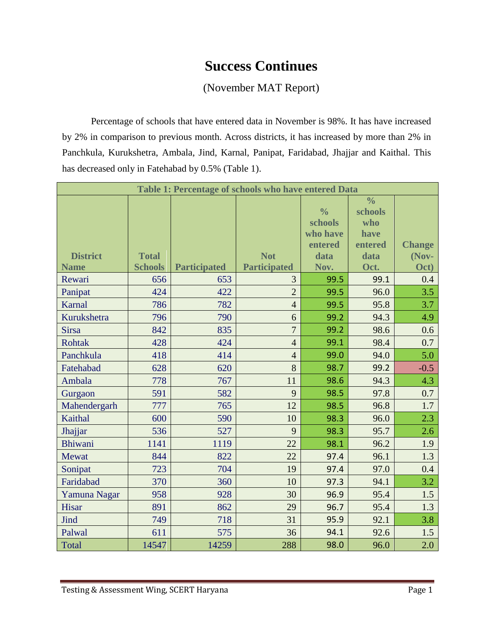## **Success Continues**

## (November MAT Report)

Percentage of schools that have entered data in November is 98%. It has have increased by 2% in comparison to previous month. Across districts, it has increased by more than 2% in Panchkula, Kurukshetra, Ambala, Jind, Karnal, Panipat, Faridabad, Jhajjar and Kaithal. This has decreased only in Fatehabad by 0.5% (Table 1).

| Table 1: Percentage of schools who have entered Data |                |                     |                     |               |               |               |  |  |
|------------------------------------------------------|----------------|---------------------|---------------------|---------------|---------------|---------------|--|--|
|                                                      |                |                     |                     |               | $\frac{0}{0}$ |               |  |  |
|                                                      |                |                     |                     | $\frac{0}{0}$ | schools       |               |  |  |
|                                                      |                |                     |                     | schools       | who           |               |  |  |
|                                                      |                |                     |                     | who have      | have          |               |  |  |
|                                                      |                |                     |                     | entered       | entered       | <b>Change</b> |  |  |
| <b>District</b>                                      | <b>Total</b>   |                     | <b>Not</b>          | data          | data          | (Nov-         |  |  |
| <b>Name</b>                                          | <b>Schools</b> | <b>Participated</b> | <b>Participated</b> | Nov.          | Oct.          | Oct)          |  |  |
| Rewari                                               | 656            | 653                 | 3                   | 99.5          | 99.1          | 0.4           |  |  |
| Panipat                                              | 424            | 422                 | $\overline{2}$      | 99.5          | 96.0          | 3.5           |  |  |
| Karnal                                               | 786            | 782                 | $\overline{4}$      | 99.5          | 95.8          | 3.7           |  |  |
| Kurukshetra                                          | 796            | 790                 | 6                   | 99.2          | 94.3          | 4.9           |  |  |
| <b>Sirsa</b>                                         | 842            | 835                 | $\overline{7}$      | 99.2          | 98.6          | 0.6           |  |  |
| <b>Rohtak</b>                                        | 428            | 424                 | $\overline{4}$      | 99.1          | 98.4          | 0.7           |  |  |
| Panchkula                                            | 418            | 414                 | $\overline{4}$      | 99.0          | 94.0          | 5.0           |  |  |
| Fatehabad                                            | 628            | 620                 | 8                   | 98.7          | 99.2          | $-0.5$        |  |  |
| Ambala                                               | 778            | 767                 | 11                  | 98.6          | 94.3          | 4.3           |  |  |
| Gurgaon                                              | 591            | 582                 | 9                   | 98.5          | 97.8          | 0.7           |  |  |
| Mahendergarh                                         | 777            | 765                 | 12                  | 98.5          | 96.8          | 1.7           |  |  |
| Kaithal                                              | 600            | 590                 | 10                  | 98.3          | 96.0          | 2.3           |  |  |
| Jhajjar                                              | 536            | 527                 | 9                   | 98.3          | 95.7          | 2.6           |  |  |
| <b>Bhiwani</b>                                       | 1141           | 1119                | 22                  | 98.1          | 96.2          | 1.9           |  |  |
| Mewat                                                | 844            | 822                 | 22                  | 97.4          | 96.1          | 1.3           |  |  |
| Sonipat                                              | 723            | 704                 | 19                  | 97.4          | 97.0          | 0.4           |  |  |
| Faridabad                                            | 370            | 360                 | 10                  | 97.3          | 94.1          | 3.2           |  |  |
| Yamuna Nagar                                         | 958            | 928                 | 30                  | 96.9          | 95.4          | 1.5           |  |  |
| Hisar                                                | 891            | 862                 | 29                  | 96.7          | 95.4          | 1.3           |  |  |
| Jind                                                 | 749            | 718                 | 31                  | 95.9          | 92.1          | 3.8           |  |  |
| Palwal                                               | 611            | 575                 | 36                  | 94.1          | 92.6          | 1.5           |  |  |
| <b>Total</b>                                         | 14547          | 14259               | 288                 | 98.0          | 96.0          | 2.0           |  |  |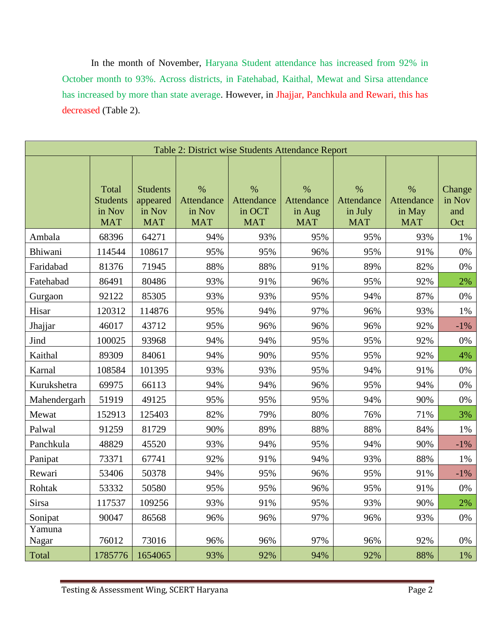In the month of November, Haryana Student attendance has increased from 92% in October month to 93%. Across districts, in Fatehabad, Kaithal, Mewat and Sirsa attendance has increased by more than state average. However, in Jhajjar, Panchkula and Rewari, this has decreased (Table 2).

| Table 2: District wise Students Attendance Report |                                                  |                                                     |                                            |                                            |                                            |                                             |                                            |                                |  |
|---------------------------------------------------|--------------------------------------------------|-----------------------------------------------------|--------------------------------------------|--------------------------------------------|--------------------------------------------|---------------------------------------------|--------------------------------------------|--------------------------------|--|
|                                                   |                                                  |                                                     |                                            |                                            |                                            |                                             |                                            |                                |  |
|                                                   | Total<br><b>Students</b><br>in Nov<br><b>MAT</b> | <b>Students</b><br>appeared<br>in Nov<br><b>MAT</b> | $\%$<br>Attendance<br>in Nov<br><b>MAT</b> | $\%$<br>Attendance<br>in OCT<br><b>MAT</b> | $\%$<br>Attendance<br>in Aug<br><b>MAT</b> | $\%$<br>Attendance<br>in July<br><b>MAT</b> | $\%$<br>Attendance<br>in May<br><b>MAT</b> | Change<br>in Nov<br>and<br>Oct |  |
| Ambala                                            | 68396                                            | 64271                                               | 94%                                        | 93%                                        | 95%                                        | 95%                                         | 93%                                        | 1%                             |  |
| Bhiwani                                           | 114544                                           | 108617                                              | 95%                                        | 95%                                        | 96%                                        | 95%                                         | 91%                                        | 0%                             |  |
| Faridabad                                         | 81376                                            | 71945                                               | 88%                                        | 88%                                        | 91%                                        | 89%                                         | 82%                                        | 0%                             |  |
| Fatehabad                                         | 86491                                            | 80486                                               | 93%                                        | 91%                                        | 96%                                        | 95%                                         | 92%                                        | 2%                             |  |
| Gurgaon                                           | 92122                                            | 85305                                               | 93%                                        | 93%                                        | 95%                                        | 94%                                         | 87%                                        | 0%                             |  |
| Hisar                                             | 120312                                           | 114876                                              | 95%                                        | 94%                                        | 97%                                        | 96%                                         | 93%                                        | 1%                             |  |
| Jhajjar                                           | 46017                                            | 43712                                               | 95%                                        | 96%                                        | 96%                                        | 96%                                         | 92%                                        | $-1%$                          |  |
| Jind                                              | 100025                                           | 93968                                               | 94%                                        | 94%                                        | 95%                                        | 95%                                         | 92%                                        | 0%                             |  |
| Kaithal                                           | 89309                                            | 84061                                               | 94%                                        | 90%                                        | 95%                                        | 95%                                         | 92%                                        | 4%                             |  |
| Karnal                                            | 108584                                           | 101395                                              | 93%                                        | 93%                                        | 95%                                        | 94%                                         | 91%                                        | 0%                             |  |
| Kurukshetra                                       | 69975                                            | 66113                                               | 94%                                        | 94%                                        | 96%                                        | 95%                                         | 94%                                        | 0%                             |  |
| Mahendergarh                                      | 51919                                            | 49125                                               | 95%                                        | 95%                                        | 95%                                        | 94%                                         | 90%                                        | 0%                             |  |
| Mewat                                             | 152913                                           | 125403                                              | 82%                                        | 79%                                        | 80%                                        | 76%                                         | 71%                                        | 3%                             |  |
| Palwal                                            | 91259                                            | 81729                                               | 90%                                        | 89%                                        | 88%                                        | 88%                                         | 84%                                        | 1%                             |  |
| Panchkula                                         | 48829                                            | 45520                                               | 93%                                        | 94%                                        | 95%                                        | 94%                                         | 90%                                        | $-1%$                          |  |
| Panipat                                           | 73371                                            | 67741                                               | 92%                                        | 91%                                        | 94%                                        | 93%                                         | 88%                                        | 1%                             |  |
| Rewari                                            | 53406                                            | 50378                                               | 94%                                        | 95%                                        | 96%                                        | 95%                                         | 91%                                        | $-1\%$                         |  |
| Rohtak                                            | 53332                                            | 50580                                               | 95%                                        | 95%                                        | 96%                                        | 95%                                         | 91%                                        | 0%                             |  |
| Sirsa                                             | 117537                                           | 109256                                              | 93%                                        | 91%                                        | 95%                                        | 93%                                         | 90%                                        | 2%                             |  |
| Sonipat                                           | 90047                                            | 86568                                               | 96%                                        | 96%                                        | 97%                                        | 96%                                         | 93%                                        | 0%                             |  |
| Yamuna<br>Nagar                                   | 76012                                            | 73016                                               | 96%                                        | 96%                                        | 97%                                        | 96%                                         | 92%                                        | 0%                             |  |
| Total                                             | 1785776                                          | 1654065                                             | 93%                                        | 92%                                        | 94%                                        | 92%                                         | 88%                                        | 1%                             |  |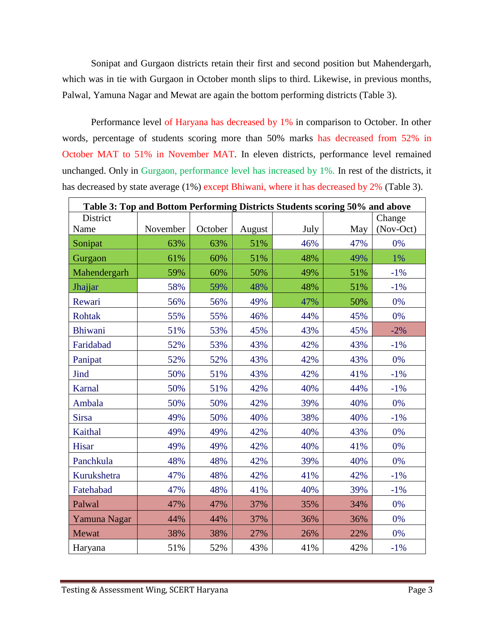Sonipat and Gurgaon districts retain their first and second position but Mahendergarh, which was in tie with Gurgaon in October month slips to third. Likewise, in previous months, Palwal, Yamuna Nagar and Mewat are again the bottom performing districts (Table 3).

Performance level of Haryana has decreased by 1% in comparison to October. In other words, percentage of students scoring more than 50% marks has decreased from 52% in October MAT to 51% in November MAT. In eleven districts, performance level remained unchanged. Only in Gurgaon, performance level has increased by 1%. In rest of the districts, it has decreased by state average (1%) except Bhiwani, where it has decreased by 2% (Table 3).

| Table 3: Top and Bottom Performing Districts Students scoring 50% and above |          |         |        |      |     |           |  |  |
|-----------------------------------------------------------------------------|----------|---------|--------|------|-----|-----------|--|--|
| District                                                                    |          |         |        |      |     | Change    |  |  |
| Name                                                                        | November | October | August | July | May | (Nov-Oct) |  |  |
| Sonipat                                                                     | 63%      | 63%     | 51%    | 46%  | 47% | 0%        |  |  |
| Gurgaon                                                                     | 61%      | 60%     | 51%    | 48%  | 49% | 1%        |  |  |
| Mahendergarh                                                                | 59%      | 60%     | 50%    | 49%  | 51% | $-1\%$    |  |  |
| Jhajjar                                                                     | 58%      | 59%     | 48%    | 48%  | 51% | $-1%$     |  |  |
| Rewari                                                                      | 56%      | 56%     | 49%    | 47%  | 50% | 0%        |  |  |
| Rohtak                                                                      | 55%      | 55%     | 46%    | 44%  | 45% | 0%        |  |  |
| Bhiwani                                                                     | 51%      | 53%     | 45%    | 43%  | 45% | $-2%$     |  |  |
| Faridabad                                                                   | 52%      | 53%     | 43%    | 42%  | 43% | $-1\%$    |  |  |
| Panipat                                                                     | 52%      | 52%     | 43%    | 42%  | 43% | 0%        |  |  |
| Jind                                                                        | 50%      | 51%     | 43%    | 42%  | 41% | $-1%$     |  |  |
| Karnal                                                                      | 50%      | 51%     | 42%    | 40%  | 44% | $-1%$     |  |  |
| Ambala                                                                      | 50%      | 50%     | 42%    | 39%  | 40% | 0%        |  |  |
| <b>Sirsa</b>                                                                | 49%      | 50%     | 40%    | 38%  | 40% | $-1%$     |  |  |
| Kaithal                                                                     | 49%      | 49%     | 42%    | 40%  | 43% | 0%        |  |  |
| Hisar                                                                       | 49%      | 49%     | 42%    | 40%  | 41% | 0%        |  |  |
| Panchkula                                                                   | 48%      | 48%     | 42%    | 39%  | 40% | 0%        |  |  |
| Kurukshetra                                                                 | 47%      | 48%     | 42%    | 41%  | 42% | $-1\%$    |  |  |
| Fatehabad                                                                   | 47%      | 48%     | 41%    | 40%  | 39% | $-1%$     |  |  |
| Palwal                                                                      | 47%      | 47%     | 37%    | 35%  | 34% | 0%        |  |  |
| Yamuna Nagar                                                                | 44%      | 44%     | 37%    | 36%  | 36% | 0%        |  |  |
| Mewat                                                                       | 38%      | 38%     | 27%    | 26%  | 22% | 0%        |  |  |
| Haryana                                                                     | 51%      | 52%     | 43%    | 41%  | 42% | $-1\%$    |  |  |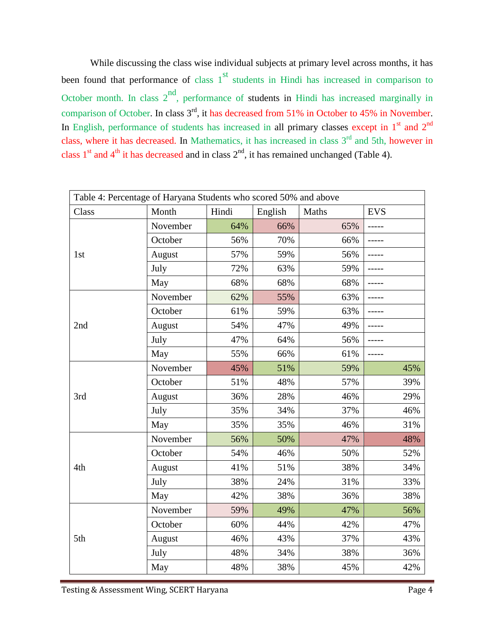While discussing the class wise individual subjects at primary level across months, it has been found that performance of class  $1<sup>st</sup>$  students in Hindi has increased in comparison to October month. In class  $2<sup>nd</sup>$ , performance of students in Hindi has increased marginally in comparison of October. In class 3<sup>rd</sup>, it has decreased from 51% in October to 45% in November. In English, performance of students has increased in all primary classes except in  $1<sup>st</sup>$  and  $2<sup>nd</sup>$ class, where it has decreased. In Mathematics, it has increased in class  $3<sup>rd</sup>$  and 5th, however in class  $1<sup>st</sup>$  and  $4<sup>th</sup>$  it has decreased and in class  $2<sup>nd</sup>$ , it has remained unchanged (Table 4).

| Table 4: Percentage of Haryana Students who scored 50% and above |          |       |         |       |            |  |  |
|------------------------------------------------------------------|----------|-------|---------|-------|------------|--|--|
| Class                                                            | Month    | Hindi | English | Maths | <b>EVS</b> |  |  |
|                                                                  | November | 64%   | 66%     | 65%   |            |  |  |
|                                                                  | October  | 56%   | 70%     | 66%   |            |  |  |
| 1st                                                              | August   | 57%   | 59%     | 56%   |            |  |  |
|                                                                  | July     | 72%   | 63%     | 59%   |            |  |  |
|                                                                  | May      | 68%   | 68%     | 68%   | -----      |  |  |
|                                                                  | November | 62%   | 55%     | 63%   |            |  |  |
|                                                                  | October  | 61%   | 59%     | 63%   |            |  |  |
| 2nd                                                              | August   | 54%   | 47%     | 49%   |            |  |  |
|                                                                  | July     | 47%   | 64%     | 56%   |            |  |  |
|                                                                  | May      | 55%   | 66%     | 61%   |            |  |  |
|                                                                  | November | 45%   | 51%     | 59%   | 45%        |  |  |
|                                                                  | October  | 51%   | 48%     | 57%   | 39%        |  |  |
| 3rd                                                              | August   | 36%   | 28%     | 46%   | 29%        |  |  |
|                                                                  | July     | 35%   | 34%     | 37%   | 46%        |  |  |
|                                                                  | May      | 35%   | 35%     | 46%   | 31%        |  |  |
|                                                                  | November | 56%   | 50%     | 47%   | 48%        |  |  |
|                                                                  | October  | 54%   | 46%     | 50%   | 52%        |  |  |
| 4th                                                              | August   | 41%   | 51%     | 38%   | 34%        |  |  |
|                                                                  | July     | 38%   | 24%     | 31%   | 33%        |  |  |
|                                                                  | May      | 42%   | 38%     | 36%   | 38%        |  |  |
|                                                                  | November | 59%   | 49%     | 47%   | 56%        |  |  |
|                                                                  | October  | 60%   | 44%     | 42%   | 47%        |  |  |
| 5th                                                              | August   | 46%   | 43%     | 37%   | 43%        |  |  |
|                                                                  | July     | 48%   | 34%     | 38%   | 36%        |  |  |
|                                                                  | May      | 48%   | 38%     | 45%   | 42%        |  |  |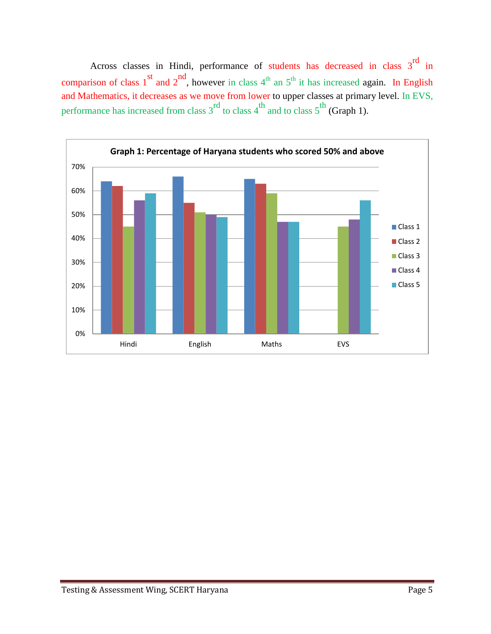Across classes in Hindi, performance of students has decreased in class  $3<sup>rd</sup>$  in comparison of class  $1<sup>st</sup>$  and  $2<sup>nd</sup>$ , however in class  $4<sup>th</sup>$  an  $5<sup>th</sup>$  it has increased again. In English and Mathematics, it decreases as we move from lower to upper classes at primary level. In EVS, performance has increased from class  $3^{rd}$  to class  $4^{th}$  and to class  $5^{th}$  (Graph 1).

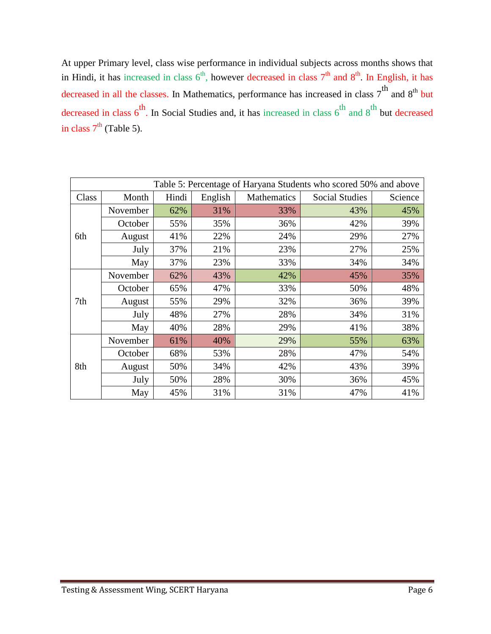At upper Primary level, class wise performance in individual subjects across months shows that in Hindi, it has increased in class  $6<sup>th</sup>$ , however decreased in class  $7<sup>th</sup>$  and  $8<sup>th</sup>$ . In English, it has decreased in all the classes. In Mathematics, performance has increased in class  $7<sup>th</sup>$  and  $8<sup>th</sup>$  but decreased in class  $6^{th}$ . In Social Studies and, it has increased in class  $6^{th}$  and  $8^{th}$  but decreased in class  $7<sup>th</sup>$  (Table 5).

| Table 5: Percentage of Haryana Students who scored 50% and above |          |       |         |             |                       |         |  |
|------------------------------------------------------------------|----------|-------|---------|-------------|-----------------------|---------|--|
| Class                                                            | Month    | Hindi | English | Mathematics | <b>Social Studies</b> | Science |  |
| 6th                                                              | November | 62%   | 31%     | 33%         | 43%                   | 45%     |  |
|                                                                  | October  | 55%   | 35%     | 36%         | 42%                   | 39%     |  |
|                                                                  | August   | 41%   | 22%     | 24%         | 29%                   | 27%     |  |
|                                                                  | July     | 37%   | 21%     | 23%         | 27%                   | 25%     |  |
|                                                                  | May      | 37%   | 23%     | 33%         | 34%                   | 34%     |  |
| 7th                                                              | November | 62%   | 43%     | 42%         | 45%                   | 35%     |  |
|                                                                  | October  | 65%   | 47%     | 33%         | 50%                   | 48%     |  |
|                                                                  | August   | 55%   | 29%     | 32%         | 36%                   | 39%     |  |
|                                                                  | July     | 48%   | 27%     | 28%         | 34%                   | 31%     |  |
|                                                                  | May      | 40%   | 28%     | 29%         | 41%                   | 38%     |  |
| 8th                                                              | November | 61%   | 40%     | 29%         | 55%                   | 63%     |  |
|                                                                  | October  | 68%   | 53%     | 28%         | 47%                   | 54%     |  |
|                                                                  | August   | 50%   | 34%     | 42%         | 43%                   | 39%     |  |
|                                                                  | July     | 50%   | 28%     | 30%         | 36%                   | 45%     |  |
|                                                                  | May      | 45%   | 31%     | 31%         | 47%                   | 41%     |  |